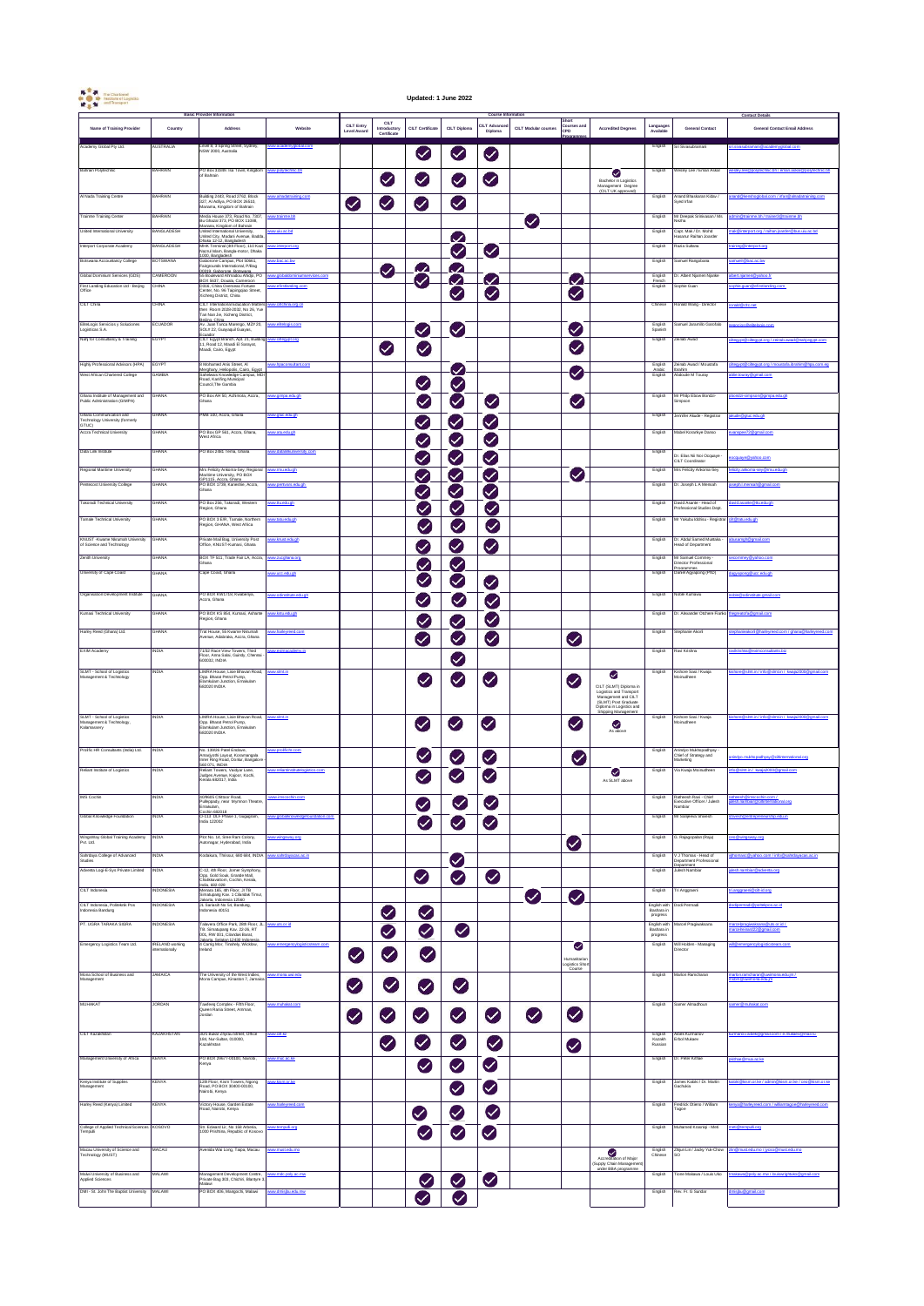| $\begin{picture}(180,10) \put(0,0){\line(1,0){10}} \put(0,0){\line(1,0){10}} \put(0,0){\line(1,0){10}} \put(0,0){\line(1,0){10}} \put(0,0){\line(1,0){10}} \put(0,0){\line(1,0){10}} \put(0,0){\line(1,0){10}} \put(0,0){\line(1,0){10}} \put(0,0){\line(1,0){10}} \put(0,0){\line(1,0){10}} \put(0,0){\line(1,0){10}} \put(0,0){\line(1,0){10}} \put(0$ |                                 |                                                                                                                                                      |                         |                           |                                                   | Updated: 1 June 2022       |                            |                                                    |                             |                             |                                                                                                                                                                                                                                                                                                                                                                                                                                                                 |                                        |                                                                       |                                                                |
|----------------------------------------------------------------------------------------------------------------------------------------------------------------------------------------------------------------------------------------------------------------------------------------------------------------------------------------------------------|---------------------------------|------------------------------------------------------------------------------------------------------------------------------------------------------|-------------------------|---------------------------|---------------------------------------------------|----------------------------|----------------------------|----------------------------------------------------|-----------------------------|-----------------------------|-----------------------------------------------------------------------------------------------------------------------------------------------------------------------------------------------------------------------------------------------------------------------------------------------------------------------------------------------------------------------------------------------------------------------------------------------------------------|----------------------------------------|-----------------------------------------------------------------------|----------------------------------------------------------------|
| Name of Training Provider                                                                                                                                                                                                                                                                                                                                | Country                         | <b>Basic Provider Information</b><br>Address                                                                                                         | Website                 | CILT Entry<br>Level Award | <b>CILT</b><br><b>Introductory</b><br>Certificate | CILT Certificate           | <b>CILT Diploma</b>        | <b>Course Information</b><br>CILT Advan<br>Diploma | <b>CILT Modular courses</b> | Short<br>Courses and<br>CPD | <b>Accredited Degrees</b>                                                                                                                                                                                                                                                                                                                                                                                                                                       | Language<br>Available                  | <b>General Contact</b>                                                | <b>Contact Details</b><br><b>General Contact Email Address</b> |
| cademy Global Pty Ltd.                                                                                                                                                                                                                                                                                                                                   | NUSTRALIA                       | Level 8, 3 Spring Street, Sydney,<br>NSW 2000, Australia                                                                                             | w.acade<br>tyglobal.com |                           |                                                   | $\bullet$                  | V                          | $\blacktriangledown$                               |                             |                             |                                                                                                                                                                                                                                                                                                                                                                                                                                                                 | English                                | iri Sivasubramani                                                     | obalcom                                                        |
| Bahrain Polytechnic                                                                                                                                                                                                                                                                                                                                      | BAHRAIN                         | PO Box 33349. Isa Town, Kingdom<br>of Bahrain                                                                                                        | ww.colvtechnic.bh       |                           | Ø                                                 | $\bullet$                  | $\vee$                     | Ø                                                  |                             |                             | ❤<br>Bachelor in Logistics<br>Management Degree<br>(CILT UK approved)                                                                                                                                                                                                                                                                                                                                                                                           | English                                | Vesley Lee / Eman Askar                                               | sley.lee@polytechnic.bh / eman.askar@polytechnic.bh            |
| Al Nada Training Centre                                                                                                                                                                                                                                                                                                                                  | <b>BAHRAIN</b>                  | Building 2443, Road 2762, Block<br>327, Al Adlya, PO BOX 26510,<br>Marama, Kingdom of Bahrain                                                        | w.alnadatraining.co     | $\heartsuit$              | Ø                                                 | $\vee$                     | $\vee$                     |                                                    |                             |                             |                                                                                                                                                                                                                                                                                                                                                                                                                                                                 | English                                | Anand Bhaskaran Kiday<br>yed Irlan                                    |                                                                |
| Trainme Training Center                                                                                                                                                                                                                                                                                                                                  | BAHRAIN                         | Media House 373, Road No. 7307,<br>Bu Ghazal 373, PO BOX 11088,                                                                                      | w.trainme.bh            |                           |                                                   |                            |                            |                                                    | $\bm{\mathcal{C}}$          |                             |                                                                                                                                                                                                                                                                                                                                                                                                                                                                 | English                                | fr Deepak Srinivasan / Ms                                             | me.bh                                                          |
| United International University                                                                                                                                                                                                                                                                                                                          | BANGLADESH                      | Manana, Kingdom of Bahrain<br>United International University,<br>United City, Madani Avenue, Badda                                                  | bd.pa.uku.ww            |                           |                                                   |                            | $\checkmark$               |                                                    |                             |                             |                                                                                                                                                                                                                                                                                                                                                                                                                                                                 | English                                | Capt. Mak / Dr. Mohd<br>asanur Raihan Joarder                         | port.org / raihan.joarder@bus.uiu.ac.bd                        |
| Interport Corporate Academy                                                                                                                                                                                                                                                                                                                              | BANGLADESH                      | Dhaka 12-12, Bandadesh<br>MHK Terminal (4th Floor), 110 Kazi<br>Nazrul Islam, Bangla-motor, Dhaka<br>000. Bandadesh.<br>Jaborone Campus, Plot 50661, |                         |                           |                                                   |                            | $\heartsuit$               | $\vee$                                             |                             |                             |                                                                                                                                                                                                                                                                                                                                                                                                                                                                 | English                                | lazia Sultano                                                         |                                                                |
| Botswana Accountancy College<br>Global Dominium Services (GDS)                                                                                                                                                                                                                                                                                           | BOTSWANA<br>CAMEROON            | Fairgrounds International, P/Bag<br>00319, Gaborone, Botswana<br>55 Boulevard Ahmadou Ahidio, PO                                                     | ww.bac.ac.bw            |                           | V                                                 | $\boldsymbol{\mathcal{L}}$ | $\omega$                   |                                                    |                             |                             |                                                                                                                                                                                                                                                                                                                                                                                                                                                                 | English<br>English                     | amuel Rangobana<br>r. Abert Niamen Niarke                             | amuelr@bac.ac.bw<br>in@vahoo.fr                                |
| First Landing Education Ltd - Beijing<br>Office                                                                                                                                                                                                                                                                                                          | <b>CHINA</b>                    | ss Bouwwird Armadod Anigo, PO<br>BOX 5637, Douala, Cameroon<br>D316, China Overseas Fortune<br>Center, No. 96 Taipingqiao Street,                    |                         |                           |                                                   | $\boldsymbol{\mathcal{C}}$ | $\omega$                   | $\sim$                                             |                             | $\omega$                    |                                                                                                                                                                                                                                                                                                                                                                                                                                                                 | French<br>English                      | icohie Guan                                                           |                                                                |
| CILT China                                                                                                                                                                                                                                                                                                                                               | :HINA                           | Xicheng District, China<br>CILT International Education Matter<br>then Room 2028-2032, No 26, Yue<br>Tan Nan Jie, Xicheng District,                  | w.citchina.org.cn       |                           |                                                   |                            | $\blacktriangledown$       | $\blacktriangledown$                               |                             | $\bm{\heartsuit}$           |                                                                                                                                                                                                                                                                                                                                                                                                                                                                 | Chinese                                | tonald Wang - Director                                                | nald@cltc.net                                                  |
| ElteLogis Servicios y Soluciones<br>ogisticas S.A.                                                                                                                                                                                                                                                                                                       | ECUADOR                         | Beiling, China<br>Av. Juan Tanca Marengo, MZ# 20,<br>SOL# 22, Guayaquil Guayas,                                                                      | ww.eltelogis.com        |                           |                                                   | Ø                          | $\bm{\triangledown}$       |                                                    |                             | Ø                           |                                                                                                                                                                                                                                                                                                                                                                                                                                                                 | English<br>Spanish                     | jamuel Jaramillo Garofalo                                             |                                                                |
| Nahj for Consultancy & Training                                                                                                                                                                                                                                                                                                                          | EGYPT                           | Fruarier<br>CILT Egypt Branch, Apt. 21, Building<br>11, Road 12, Maadi El Sarayat,<br>Maadi, Cairo, Egypt                                            | rot ora                 |                           | $\bullet$                                         | $\bullet$                  |                            |                                                    |                             | Ø                           |                                                                                                                                                                                                                                                                                                                                                                                                                                                                 | English                                | einab Awad                                                            |                                                                |
| Highly Professional Advisors (HPA)<br>West African Chartered College                                                                                                                                                                                                                                                                                     | EGYPT<br>AMBM                   | 8 Mohamed Anis Street, Al<br>Merghany, Helopolis, Cairo, Egypt<br>Sahelwais Knowledge Campus, MD                                                     |                         |                           |                                                   |                            | $\cup$                     |                                                    |                             | $\bullet$                   |                                                                                                                                                                                                                                                                                                                                                                                                                                                                 | English<br>Arabic<br>English           | einab Awad / Moustafa<br>ammo Ammo / moo<br>ahim<br>abdoulie M Touray | lie.touray@gmail.com                                           |
|                                                                                                                                                                                                                                                                                                                                                          |                                 | Road, Kanifing Municipal<br>Council, The Gambia                                                                                                      |                         |                           |                                                   | $\vee$                     | $\vee$                     |                                                    |                             |                             |                                                                                                                                                                                                                                                                                                                                                                                                                                                                 |                                        |                                                                       |                                                                |
| Ghana Institute of Management and<br>ublic Administration (GIMPA)                                                                                                                                                                                                                                                                                        | GHANA                           | PO Box AH 50, Achimota, Accra,<br>Ghana                                                                                                              | www.gimpa.edu.gh        |                           |                                                   | V                          | Ø                          | Ø                                                  |                             | $\vee$                      |                                                                                                                                                                                                                                                                                                                                                                                                                                                                 | English                                | Ar Philip Ebow Bondzi-<br>impson                                      | bondzi-simpson@gimpa.edu.gh                                    |
| Ghana Communication and<br>Technology University (formerly<br>GTUC)                                                                                                                                                                                                                                                                                      | GHANA                           | PMR 100 Accra Ghana                                                                                                                                  | ww.gtuc.edu.gh          |                           |                                                   | $\bullet$                  | $\boldsymbol{\mathcal{C}}$ | $\bullet$                                          |                             |                             |                                                                                                                                                                                                                                                                                                                                                                                                                                                                 | English                                | lernifer Akude - Registrar                                            | akude@gtuc.edu.gh                                              |
| <b>Accra Technical University</b>                                                                                                                                                                                                                                                                                                                        | <b>GHANA</b>                    | PO Box GP 561, Accra, Ghana,<br>Vest Africa                                                                                                          | w.atu.edu.gh            |                           |                                                   | $\checkmark$               | $\checkmark$               | $\bm{\heartsuit}$                                  |                             |                             |                                                                                                                                                                                                                                                                                                                                                                                                                                                                 | English                                | Mabel Korankye Danso                                                  |                                                                |
| Data Link Institute                                                                                                                                                                                                                                                                                                                                      | GHANA                           | PO Box 2481 Tema, Ghana                                                                                                                              |                         |                           |                                                   | $\checkmark$               | $\vee$                     | $\blacktriangledown$                               |                             |                             |                                                                                                                                                                                                                                                                                                                                                                                                                                                                 | English                                | )r. Elias Nii Noi Ocquaye -<br>IILT Coordinator                       | quaye@yahoo.com                                                |
| Regional Maritime University                                                                                                                                                                                                                                                                                                                             | 3HANA                           | Mrs Felicity Ankoma-Sey, Regional<br>Maritime University, PO BOX                                                                                     | w.mu.edu.gh             |                           |                                                   | $\triangledown$            |                            | $\bm{\triangledown}$                               |                             | $\bullet$                   |                                                                                                                                                                                                                                                                                                                                                                                                                                                                 | English                                | firs Felicity Ankoma-Sey                                              |                                                                |
| Pentecost University College                                                                                                                                                                                                                                                                                                                             | <b>GHANA</b>                    | GP1115, Accra, Ghana<br>PO BOX 1739, Kaneshie, Accra,<br>Ghana                                                                                       | w.pertyars.edu.ch       |                           |                                                   | $\checkmark$               | $\checkmark$<br>∨          | $\blacktriangledown$                               |                             |                             |                                                                                                                                                                                                                                                                                                                                                                                                                                                                 | English                                | Dr. Joseph L A Mensah                                                 | sph.i.mensah@gmail.com                                         |
| Takoradi Technical University                                                                                                                                                                                                                                                                                                                            | GHANA                           | PO Box 256, Takoradi, Western<br>Region, Ghana                                                                                                       | doubouti ww             |                           |                                                   | $\vee$                     | V.                         | $\blacktriangledown$                               |                             |                             |                                                                                                                                                                                                                                                                                                                                                                                                                                                                 | English                                | lavid Asante - Head of<br>rofessional Studies Dept.                   | avid.asante@ttu.edu.gh                                         |
| Famale Technical University                                                                                                                                                                                                                                                                                                                              | <b>GHANA</b>                    | PO BOX 3 E/R, Tamale, Northern<br>Region, GHANA, West Africa                                                                                         | doubs utgive            |                           |                                                   | $\vee$                     | V                          | $\blacktriangledown$                               |                             |                             |                                                                                                                                                                                                                                                                                                                                                                                                                                                                 | English                                | fr Yakıbu İddrisu - Registrar elir@tatı edu oh                        |                                                                |
| KNUST - Kwame Nkrumah University<br>of Science and Technology                                                                                                                                                                                                                                                                                            | 3HANA                           | Private Mail Bag, University Post<br>Office, KNUST-Kumasi, Ghana                                                                                     | w.knust.edu.gh          |                           |                                                   | $\triangledown$            | $\checkmark$               | Ø                                                  |                             |                             |                                                                                                                                                                                                                                                                                                                                                                                                                                                                 | English                                | Dr. Abdul Samed Muntaka<br>ead of Department                          | busamgh@gmail.com                                              |
| Zenith University                                                                                                                                                                                                                                                                                                                                        | GHANA                           | BOX TF 511, Trade Fair LA, Accra,<br>Ghana                                                                                                           | w zucghana org          |                           |                                                   | $\blacktriangledown$       | $\vee$                     |                                                    |                             |                             |                                                                                                                                                                                                                                                                                                                                                                                                                                                                 | English                                | Mr Samuel Commey<br>irector Professiona<br>commence                   | nev Byahoo.com                                                 |
| University of Cape Coast                                                                                                                                                                                                                                                                                                                                 | GHANA                           | Cape Coast, Ghana                                                                                                                                    | dg.ubo.odu.gh           |                           |                                                   | V                          | Ø                          | $\bullet$                                          |                             |                             |                                                                                                                                                                                                                                                                                                                                                                                                                                                                 | English                                | aniel Agyapong (PhD)<br>Noble Kumawu                                  | a@ucc.edu.gh                                                   |
| Organisation Development Institute                                                                                                                                                                                                                                                                                                                       | GHANA                           | PO BOX KW1718, Kwabenya,<br>iccra, Ghana                                                                                                             | w.odinstitute.edu.oh    |                           |                                                   | Ø                          | V                          | $\blacktriangledown$                               |                             |                             |                                                                                                                                                                                                                                                                                                                                                                                                                                                                 | English                                |                                                                       | able@odinsthide.omail.c                                        |
| Kumasi Technical University                                                                                                                                                                                                                                                                                                                              | GHANA                           | PO BOX KS 854, Kumasi, Ashante<br>Region, Ghana                                                                                                      | w.kstu.edu.oh           |                           |                                                   | Ø                          | $\bm{\mathcal{C}}$         | $\blacktriangledown$                               |                             |                             |                                                                                                                                                                                                                                                                                                                                                                                                                                                                 | English                                | Dr. Alexander Otchere Fianko                                          | tofa@gmail.com                                                 |
| Harley Reed (Ghana) Ltd.                                                                                                                                                                                                                                                                                                                                 | GHANA                           | Trat House, 55 Kwame Nkrumah<br>Avenue, Adabraka, Accra, Ghana                                                                                       | w.harloweed.com         |                           |                                                   | $\checkmark$               | Ø                          | $\bm{\heartsuit}$                                  |                             | Ø                           |                                                                                                                                                                                                                                                                                                                                                                                                                                                                 | English                                | Stephanie Akorti                                                      |                                                                |
| EXIM Academy                                                                                                                                                                                                                                                                                                                                             | <b>NDIA</b>                     | 71/32 Race View Towers, Third<br>Floor, Anna Salai, Guindy, Chennai<br>00032, INDIA                                                                  | w.eximacademy.in        |                           |                                                   |                            | $\bullet$                  |                                                    |                             |                             |                                                                                                                                                                                                                                                                                                                                                                                                                                                                 | English                                | Ravi Krishna                                                          | <b>Bants Na</b>                                                |
| SLMT - School of Logistics<br>Management & Technology                                                                                                                                                                                                                                                                                                    | NDIA                            | LIMRA House, Lisie Bhavan Road,<br>Opp. Bharat Petrol Pump,<br>Elamkulam Junction, Emakulam<br>682020 INDIA                                          | w.simt.in               |                           |                                                   | $\bm{\heartsuit}$          | $\bullet$                  | V                                                  |                             | $\blacktriangledown$        | Ø<br>CILT (SLMT) Diploma in<br>Logistics and Transport<br>Management and CILT<br>(SLMT) Post Gradu                                                                                                                                                                                                                                                                                                                                                              | English                                | Kishore Sasi / Kwaja<br>Moinudheen                                    | to B simt in / info B simt in /                                |
| SLMT - School of Logistics<br>nent & Technology<br>x<br>Management &<br>Kalamassery                                                                                                                                                                                                                                                                      | <b>INDIA</b>                    | LIMRA House, Lisie Bhavan Road, www.simt.in<br>Opp. Bharat Petrol Pump,<br>Elamkulam Junction, Emakulam                                              |                         |                           |                                                   | $\vee$                     | $\blacktriangledown$       | Ø                                                  |                             | Ø                           | Diploma in Logistics and<br>Shipping Management<br>◕<br>As above                                                                                                                                                                                                                                                                                                                                                                                                | English                                | Kishore Sasi / Kwaja<br>foinudheen                                    | kishore@simt.in / info@simt.in / kwaia2000@gmail.com           |
| Prolific HR Consultants (India) Ltd.                                                                                                                                                                                                                                                                                                                     | <b>INDIA</b>                    | No. 139/26 Patel Enclaye.<br>Amariyothi Layout, Koramangala<br>Inner Ring Road, Donlur, Bangalore                                                    | crolificht com          |                           |                                                   | V                          | $\blacktriangledown$       | $\checkmark$                                       |                             | V                           |                                                                                                                                                                                                                                                                                                                                                                                                                                                                 | English                                | Anindyo Mukhopadhyay<br>Chief of Strategy and<br>larketing            | m Ahnnedhyay Ricitinternational ord                            |
| Reliant Institute of Logistics                                                                                                                                                                                                                                                                                                                           | NDM <sub></sub>                 | 560 071, INDIA<br>Reliant Towers, Vaidyar Lane,<br>Judges Avenue, Kaloor, Kochi,<br>Kerala 682017, India                                             |                         |                           |                                                   | $\bullet$                  | Ø                          | $\bullet$                                          |                             |                             | Ø<br>As SLMT above                                                                                                                                                                                                                                                                                                                                                                                                                                              | English                                | ila Kwaja Moinudheen                                                  |                                                                |
| <b>IMS Cochin</b>                                                                                                                                                                                                                                                                                                                                        | <b>INDIA</b>                    | 40/9605 Chittoor Road.<br>Pulleppady, near Mymnon Theatre,<br>Ernakulam.                                                                             | ww.imscochin.com        |                           |                                                   | Ø                          | $\bullet$                  | $\bullet$                                          |                             |                             |                                                                                                                                                                                                                                                                                                                                                                                                                                                                 | English                                | Ratheesh Rayi - Chief<br>Executive Officer / Julesh<br>Nambiar        | h@imscochin.com /<br>~~~iar@ritinternational.org               |
| Global Knowledge Foundation                                                                                                                                                                                                                                                                                                                              | NDIA                            | Ernakulam,<br><u>Cochin 682018</u><br>O-113 DLF Phase 1, Gugugram,<br>India 122002                                                                   | nv.glob                 |                           |                                                   | Ø                          | $\bullet$                  | $\bullet$                                          |                             |                             |                                                                                                                                                                                                                                                                                                                                                                                                                                                                 | English                                | Mr Sanjeeva Shivesh                                                   | hivesh@entrepreneurship.edu.in                                 |
| WingsWay Global Training Academy<br>Pvt. Ltd.                                                                                                                                                                                                                                                                                                            | INDIA                           | Plot No. 14, Sree Ram Colony,                                                                                                                        | ww.wingsway.org         |                           |                                                   |                            |                            |                                                    |                             |                             |                                                                                                                                                                                                                                                                                                                                                                                                                                                                 | English                                | 3. Rajagopalan (Raju)                                                 | o & winasway.cra                                               |
| Sahrdaya College of Advanced<br>Studies                                                                                                                                                                                                                                                                                                                  | <b>NDIA</b>                     | Autonagar, Hyderabad, India<br>(odakura, Thrissur, 680 684, INDIA                                                                                    | w.sah                   |                           |                                                   |                            |                            |                                                    |                             | $\bullet$                   |                                                                                                                                                                                                                                                                                                                                                                                                                                                                 | English                                | V J Thomas - Head of<br>Department Professional                       | com / info B                                                   |
| Adventa Logi-E-Sys Private Limited                                                                                                                                                                                                                                                                                                                       | NDIA                            | C-12, 4th Floor, Jomer Symphony,<br>Opp. Gold Souk, Grande Mall,<br>halikkavattom, Cochin, Kerala,<br>India, 682-028                                 |                         |                           |                                                   | Ø                          | Ø<br>Ø                     | $\bullet$                                          |                             |                             |                                                                                                                                                                                                                                                                                                                                                                                                                                                                 | English                                | soartment<br>ilesh Nambia                                             | r@adventa.org                                                  |
| CILT Indonesia                                                                                                                                                                                                                                                                                                                                           | NDONESIA                        | inual escruzo<br>Monara 165, 4th Floor, Jl TB<br>Simatupang Kav. 1 Cliandak Timur,<br>Jakarta. Indonesia 12560<br>JL Sariasih No 54, Bandung,        |                         |                           |                                                   |                            |                            |                                                    | $\bullet$                   | $\blacktriangledown$        |                                                                                                                                                                                                                                                                                                                                                                                                                                                                 | English                                | Tri Anggraeni                                                         | pro.bl-\$p\$iner                                               |
| CILT Indonesia, Politeknik Pos<br>ndonesia Bandung                                                                                                                                                                                                                                                                                                       | <b>NDONESIA</b>                 | Indonesia 40151                                                                                                                                      |                         |                           | $\bullet$                                         | $\bullet$                  |                            |                                                    |                             |                             |                                                                                                                                                                                                                                                                                                                                                                                                                                                                 | English with<br>Bashara in<br>progress | lodi Permadi                                                          | @poltekpos.ac.id                                               |
| PT. UGRA TARAKA SIGRA                                                                                                                                                                                                                                                                                                                                    | <b>NDONESIA</b>                 | Talayera Office Park, 28th Floor, JL                                                                                                                 | ww.uts.or.id            |                           | $\bullet$                                         | ◙                          | Ø                          |                                                    |                             |                             |                                                                                                                                                                                                                                                                                                                                                                                                                                                                 | English with<br>Bashara in             | Marcel Pragiwaksana                                                   | waksana@uts.or.id/<br>22@gmail.com                             |
| Emergency Logistics Team Ltd.                                                                                                                                                                                                                                                                                                                            | RELAND working<br>ternationally | TB. Simatupang Kav. 22-26, RT<br>TB. Simatupang Kav. 22-26, RT<br>Jakarta. Selatan 12430 Indonesia<br>4 Carrig Mor, Tinahely, Wicklow,<br>Ireland    |                         | $\heartsuit$              | $\bigcirc$                                        | $\color{red}Q$             |                            |                                                    |                             | ◙<br>Humanitaria            |                                                                                                                                                                                                                                                                                                                                                                                                                                                                 | progress<br>English                    | Will Holden - Managing<br>irector                                     |                                                                |
| Mona School of Business and<br>Management                                                                                                                                                                                                                                                                                                                | <b>AMAICA</b>                   | The University of the West Indies,<br>Mona Campus, Kinaston 7, Jamaic                                                                                | w.mona.uwi.edu          |                           |                                                   |                            |                            |                                                    |                             | ogistics Sho<br>Course      |                                                                                                                                                                                                                                                                                                                                                                                                                                                                 | English                                | arlon Ramcharan                                                       | <u>ianon ramcharan Riuwi</u>                                   |
|                                                                                                                                                                                                                                                                                                                                                          |                                 |                                                                                                                                                      |                         | $\bigvee$                 | $\heartsuit$                                      | $\bullet$                  | $\bigvee$                  |                                                    |                             |                             |                                                                                                                                                                                                                                                                                                                                                                                                                                                                 |                                        |                                                                       | na.edu.jm                                                      |
| MUHAKAT                                                                                                                                                                                                                                                                                                                                                  | <b>IORDAN</b>                   | Tawfeeq Complex - Fifth Floor,<br>Queen Rania Street, Amman,<br>Jordan                                                                               | ww.muhakat.com          | $\heartsuit$              | $\heartsuit$                                      | $\bigvee$                  | $\heartsuit$               | $\blacktriangledown$                               | $\bullet$                   | $\heartsuit$                |                                                                                                                                                                                                                                                                                                                                                                                                                                                                 | English                                | Samer Almadhoun                                                       | amer@muhakat.com                                               |
| CILT Kazakhstan                                                                                                                                                                                                                                                                                                                                          | KAZAKHSTAN                      | 30/1 Bukar Zhyrau Street, Office<br>184, Nur-Sultan, 010000,<br>Kazakhstan                                                                           | w.cit.kz                |                           | $\heartsuit$                                      | $\vee$                     | $\vee$                     | $\vee$                                             |                             | ❤                           |                                                                                                                                                                                                                                                                                                                                                                                                                                                                 | English<br>Kazakh<br>Russian           | Albek Kurmanov<br>Erbol Mukaev                                        |                                                                |
| Management University of Africa                                                                                                                                                                                                                                                                                                                          | <b>KENYA</b>                    | PO BOX 29677-00100, Nairobi,<br>Kenya                                                                                                                | w.muc.ac.ke             |                           |                                                   | Ø                          | $\bullet$                  | $\bullet$                                          |                             |                             |                                                                                                                                                                                                                                                                                                                                                                                                                                                                 | English                                | X. Peter Kithae                                                       | ua ac ke                                                       |
| Kenya Institute of Supplies<br>Management<br>Harley Reed (Kenya) Limited                                                                                                                                                                                                                                                                                 | (ENYA<br>KENYA                  | 12th Floor, Kism Towers, Ngong<br>Road, PO BOX 30400-00100,<br>Nairobi, Kenya                                                                        | w.kism.or.kp            |                           |                                                   |                            | ❤                          | $\bullet$                                          |                             |                             |                                                                                                                                                                                                                                                                                                                                                                                                                                                                 | English<br>English                     | James Kaloki / Dr. Martin<br>3achukia                                 | m.or.ke / ceo @kism.or.ke<br>oki @kism.or.ke / adn             |
|                                                                                                                                                                                                                                                                                                                                                          |                                 | Victory House, Garden Estate<br>Road, Nairobi, Kenya                                                                                                 |                         |                           |                                                   | Ø                          | ❤                          | $\bullet$                                          |                             |                             |                                                                                                                                                                                                                                                                                                                                                                                                                                                                 |                                        | Fredrick Otieno / William<br>Tagoe                                    |                                                                |
| College of Applied Technical Sciences - KOSOVO<br>empulli                                                                                                                                                                                                                                                                                                |                                 | Str. Edward Lir, No 158 Arberia,<br>1000 Prishtina, Republic of Kosovo                                                                               | oto illuminum           |                           |                                                   | Ø                          | $\bullet$                  | $\bullet$                                          |                             |                             |                                                                                                                                                                                                                                                                                                                                                                                                                                                                 | English                                | Muhamed Krasniqi - Meti                                               | eti@tempulli.org                                               |
| Macau University of Science and<br>fechnology (MUST)                                                                                                                                                                                                                                                                                                     | MACAU                           | Avenida Wai Long, Taipa, Macau                                                                                                                       | ww.must.edu.mo          |                           |                                                   |                            |                            |                                                    |                             |                             | $rac{1}{\sqrt{1+\frac{1}{2}}\sqrt{1+\frac{1}{2}}\sqrt{1+\frac{1}{2}}\sqrt{1+\frac{1}{2}}\sqrt{1+\frac{1}{2}}\sqrt{1+\frac{1}{2}}\sqrt{1+\frac{1}{2}}\sqrt{1+\frac{1}{2}}\sqrt{1+\frac{1}{2}}\sqrt{1+\frac{1}{2}}\sqrt{1+\frac{1}{2}}\sqrt{1+\frac{1}{2}}\sqrt{1+\frac{1}{2}}\sqrt{1+\frac{1}{2}}\sqrt{1+\frac{1}{2}}\sqrt{1+\frac{1}{2}}\sqrt{1+\frac{1}{2}}\sqrt{1+\frac{1}{2}}\sqrt{1+\frac{1}{2}}\sqrt{1+\frac{$<br>ion of Major<br>(Supply Chain Management | English<br>Chinese                     | Zhijun Lin / Jacky Yuk Chow<br>šÓ.                                    | zin Rmust.edu.mo / jycso Rmust.edu.mo                          |

Malwi University of Business and Applied Sciences

MALAWI Management Development Centre, Private Bag 303, Chichiri, Blantyre 3, Malawi

under BBA programme

www.mdc.colv.ac.mw houiswrightuko@gmail.com [ English Tione Makawa / Louis Uko tmakawa@poly.ac.mw / buiswrightuko@gmail.com

DMI - St. John The Baptist University MALAWI PO BOX 406, Mangochi, Malawi [www.dmisjbu.edu.mw](http://www.dmisjbu.edu.mw/) English Rev. Fr. G Sundar [dmisjbu@gmail.com](mailto:dmisjbu@gmail.com)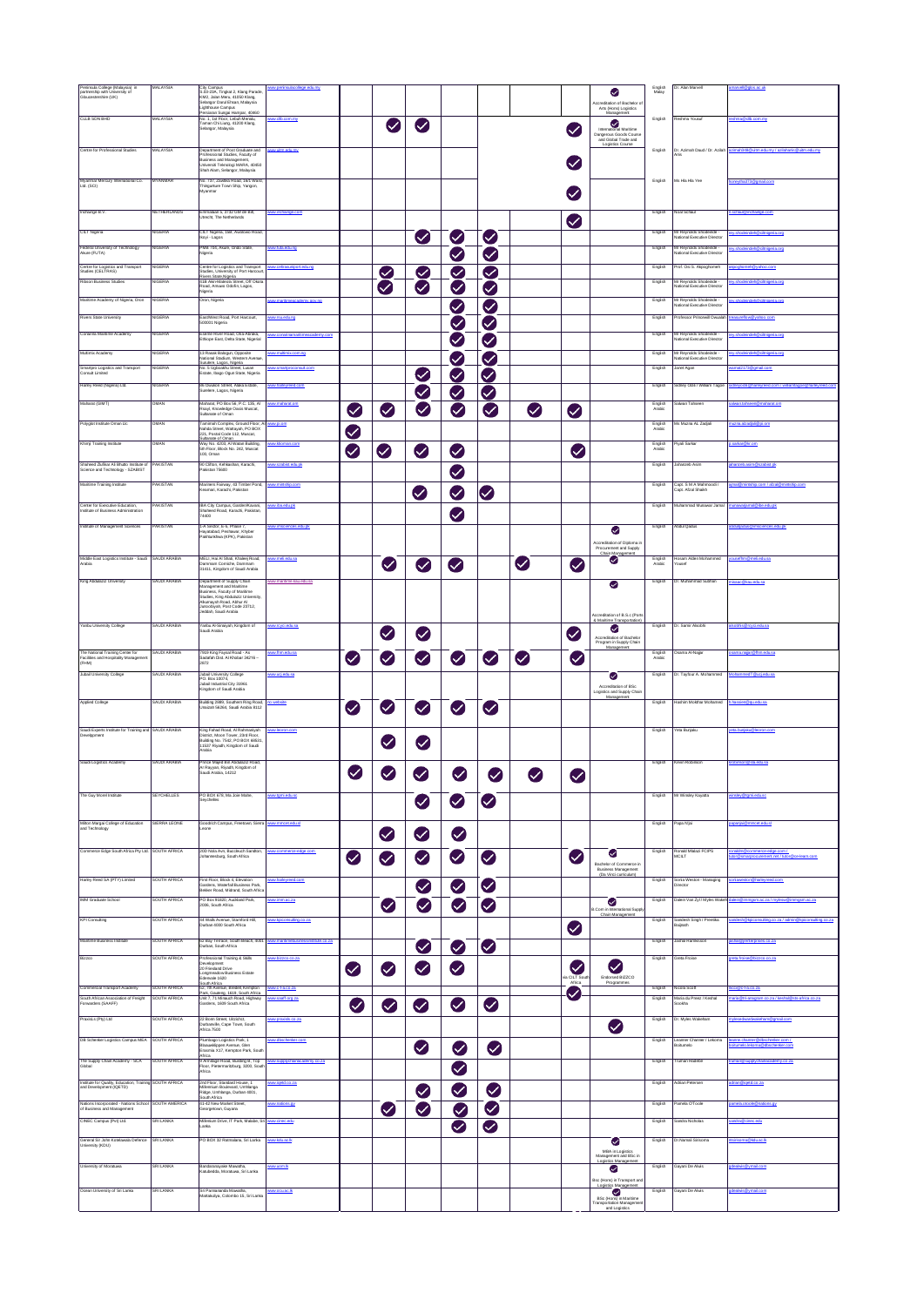| Peninsula College (Malaysia) in<br>partnership with University of<br>Gloucestershire (UK)                                                | MALAYSIA                            | City Campus<br>S.03-23A, Tingkat 2, Klang Parade,<br>KM2, Jalan Meru, 41050 Klang,<br>Selangor Darul Ehsan, Malaysia                                                                                               | college edumy                                 |           |                      |                              |                            |                            |              |                            | Ø<br><b>Ancreditation of Rachelor of</b>                                                            | English<br>Malay   | Dr. Alan Marvell                                                             | marvell@glos.ac.uk                                                   |
|------------------------------------------------------------------------------------------------------------------------------------------|-------------------------------------|--------------------------------------------------------------------------------------------------------------------------------------------------------------------------------------------------------------------|-----------------------------------------------|-----------|----------------------|------------------------------|----------------------------|----------------------------|--------------|----------------------------|-----------------------------------------------------------------------------------------------------|--------------------|------------------------------------------------------------------------------|----------------------------------------------------------------------|
| CLLB SDN BHD                                                                                                                             | <b>MALAYSIA</b>                     | Centryon China Chattle, masaysin<br>Lighthouse Campus<br>Persiaran Sungai Hampar, 40460<br>No. 1, 1st Floor, Lebuh Menalu,<br>Taman Chi Liung, 41200 Klang,<br>nan Chi Liung, 41200 Klang                          | ww.clb.com.mv                                 |           |                      |                              |                            |                            |              |                            | Arts (Hons) Logistics<br>Managemen<br>Ø                                                             | English            | Reshma Yousuf                                                                | shna@cib.com.m                                                       |
|                                                                                                                                          |                                     | Selangor, Malaysia                                                                                                                                                                                                 |                                               |           | Ø                    | Ø                            |                            |                            |              | Ø                          | Dangerous Goods Course<br>and Global Trade and                                                      |                    |                                                                              |                                                                      |
| Centre for Professional Studies                                                                                                          | MALAYSIA                            | Department of Post Graduate and<br>rofessional Studies, Faculty of<br>Business and Management<br>Universiti Teknologi MARA 40450<br>Shah Alam, Selangor, Malaysia                                                  | w.utm.edu.mv                                  |           |                      |                              |                            |                            |              | $\bm{\triangledown}$       | Logistics Course                                                                                    | English            | Dr. Azimah Daud / Dr. Azilah                                                 | mah348 @ultm.edu.mv / az                                             |
| .<br>Myanmar Mercury International Co.<br>Ltd. (SCI)                                                                                     | <b>MYANMAR</b>                      | No. 737, Zawtika Road, 16/1 Ward,<br>Thingunture Town Ship, Yangon,                                                                                                                                                |                                               |           |                      |                              |                            |                            |              |                            |                                                                                                     | English            | Ms Hia Hia Yee                                                               | neytha373@gmail.com                                                  |
| Inchainge B.V.                                                                                                                           | <b>NETHERLANDS</b>                  | Emmalaan 5, 3732 GM de Bilt,<br>Utrecht, The Netherlands                                                                                                                                                           | ww.inchainge.com                              |           |                      |                              |                            |                            |              | $\boldsymbol{\mathcal{L}}$ |                                                                                                     | English            | <b>Voal Schaul</b>                                                           |                                                                      |
| CILT Nigeria                                                                                                                             | <b>NIGERIA</b>                      | CILT Nigeria, 15B, Awolowo Road,<br>Ikoyi - Lagos                                                                                                                                                                  |                                               |           |                      | $\bullet$                    | Ø                          | $\checkmark$               |              |                            |                                                                                                     | English            | Mr Reynolds Shodeinde -<br>National Executive Director                       | shodeindeh@clinigeria.org                                            |
| Federal University of Technology<br>Akure (FUTA)                                                                                         | <b>NIGERIA</b>                      | PMB 704, Akure, Ondo State,<br>Nigeria                                                                                                                                                                             | ww.futa.edu.no                                |           |                      |                              | Ø                          | Ø                          |              |                            |                                                                                                     | English            | Mr Reynolds Shodeinde -<br>lational Executive Director                       | v.shodeindeh@oltnigeria.org                                          |
| <b>Centre for Logistics and Transport</b><br>Studies (CELTRAS)<br>Ribson Business Studies                                                | <b>NIGERIA</b><br><b>NIGERIA</b>    | Centre for Logistics and Transport<br>Studies, University of Port Harcour<br>Rivers State Nigeria<br>41B Akin-Mateola Street, Off Okota<br>Road, Amuwo Odofin, Lagos,                                              | ww.cetrasuniport.edu.ng                       |           | Ø<br>Ø               | $\checkmark$<br>$\checkmark$ | Ø<br>$\checkmark$          | ◙<br>Ø                     |              |                            |                                                                                                     | English<br>English | rof. Osi S. Akpoghomeh<br>Mr Reynolds Shodeinde<br>ational Executive Directo | noo.ooksvillenodoog<br>eindeh Rolltnigeria.on                        |
| Maritime Academy of Nigeria, Oron                                                                                                        | <b>NIGERIA</b>                      | Oron, Nigeria                                                                                                                                                                                                      | ww.maritimeacademy.gov.ne                     |           |                      |                              | $\checkmark$               | $\backsim$                 |              |                            |                                                                                                     | English            | Mr Reynolds Shodeinde -<br>ational Executive Director                        | shodeindeh Rolltrigeria.on                                           |
| Rivers State University<br>Conarina Maritime Academy                                                                                     | <b>IIGERIA</b><br><b>NIGERIA</b>    | East/West Road, Port Harcourt,<br>500001 Nigeria<br>Eseme River Road, Oria-Abraka,                                                                                                                                 | w.rsuedu.ra<br>ww.conarinamaritimeacademy.com |           |                      |                              | Ø                          | Ø                          |              |                            |                                                                                                     | English<br>English | mfessor Princewill Own<br>Mr Reynolds Shodeinde -                            | ey.shodeindeh@ciltnigeria.org                                        |
| Multimix Academy                                                                                                                         | NIGERIA                             | Ethiope East, Delta State, Nigerial<br>13 Rasak Balogun, Opposite                                                                                                                                                  | hina                                          |           |                      |                              | Ø                          | Ø                          |              |                            |                                                                                                     | English            | lational Executive Director<br>Mr Reynolds Shodeinde -                       | deh@citnigeria.org                                                   |
| -<br>Smartpro Logistics and Transport<br>Consult Limited                                                                                 | <b>IIGERIA</b>                      | National Stadium, Western Avenue.<br>Surulere, Lagos, Nigeria                                                                                                                                                      | w «martproconsult.com                         |           |                      |                              | $\checkmark$               | Ø                          |              |                            |                                                                                                     | English            | estional Executive Director<br>lanet Agan                                    | 2173@ nmail con                                                      |
| Harley Reed (Nigeria) Ltd.                                                                                                               | NIGERIA                             | No. 5 Ugboakhu Street, Lusan<br>Estate, Ibago Ogun State, Nigeria<br>86 Owukori Street, Alaka Estate,                                                                                                              | ww.harloweed.com                              |           |                      | Ø                            | $\checkmark$               | Ø                          |              |                            |                                                                                                     | English            | Sidney Odil / William Tagoe                                                  |                                                                      |
| Maharat (GIMT)                                                                                                                           | OMAN                                | Surelere, Lagos, Nigeria<br>Maharat, PO Box 56, P.C. 135, Al                                                                                                                                                       | ww.maharat.om                                 |           |                      | Ø                            | Ø                          | Ø                          |              |                            |                                                                                                     | English            | alwan Tahseen                                                                | ilwan.tahseen@maharat.om                                             |
| Polyglot Institute Oman Lic                                                                                                              | OMAN                                | Rsayl, Knowledge Oasis Muscat,<br>Sultanate of Oman                                                                                                                                                                | mo.iq.ww                                      | Ø         | Ø                    | $\checkmark$                 | Ø                          | Ø                          | $\bullet$    | Ø                          |                                                                                                     | Arabic             | ils Muzna AL Zadali                                                          | uma aizadali Rollom                                                  |
|                                                                                                                                          |                                     | Tamimah Complex, Ground Floor, Al<br>Nahda Street, Wattayah, PO BOX<br>221, Postal Code 112, Muscat,<br>Sultanate of Oman<br>Way No. 4203, Al Watan Building,                                                      |                                               | Ø         |                      |                              |                            |                            |              |                            |                                                                                                     | English<br>Arabic  |                                                                              |                                                                      |
| Khimji Training Institute                                                                                                                | OMAN                                | 5th Floor, Block No. 242, Muscat<br>100. Oman                                                                                                                                                                      | man.com                                       | Ø         | Ø                    | $\boldsymbol{\mathcal{L}}$   | Ø                          |                            |              | Ø                          |                                                                                                     | English<br>Arabic  | hyali Sarkar                                                                 | sarkar@kr.om                                                         |
| Shaheed Zufikar Ali Bhutto Institute of<br>Science and Technology - SZABIST                                                              | PAKISTAN                            | 90 Clifton, Kehkashan, Karachi,<br>Pakistan 75600                                                                                                                                                                  | ww.szabist.edu.ok                             |           |                      |                              | Ø                          |                            |              |                            |                                                                                                     | English            | Jahanzeb Asim                                                                | hanzeb.asim@szabist.pk                                               |
| Maritime Training Institute                                                                                                              | PAKISTAN                            | Mariners Fairway, 43 Timber Pond,<br>Keamari, Karachi, Pakistan                                                                                                                                                    | w.mirtship.com                                |           |                      | Ø                            | Ø                          | Ø                          |              |                            |                                                                                                     | English            | Capt, S M A Mahm<br>apt. Afzal Shaikh                                        |                                                                      |
| <b>Center for Executive Education</b><br>stitute of Business Administration                                                              | PAKISTAN                            | IBA City Campus, Garden/Kavani,<br>Shaheed Road, Karachi, Pakistan,<br>74400                                                                                                                                       | ww.iba.edu.pk                                 |           |                      |                              | Ø                          |                            |              |                            |                                                                                                     | English            | Muhammad Munawar Jamal                                                       |                                                                      |
| Institute of Management Sciences                                                                                                         | PAKISTAN                            | 1-A Sector, E-5, Phase 7,<br>Hayatabad, Peshawar, Khyber<br>Pakhtunkhwa (KPK), Pakistan                                                                                                                            | w.imsciences.edu.pk                           |           |                      |                              |                            |                            |              |                            | ◕                                                                                                   | English            | bdul Qadus                                                                   |                                                                      |
|                                                                                                                                          |                                     |                                                                                                                                                                                                                    |                                               |           |                      |                              |                            |                            |              |                            | ccreditation of Diploma in<br>Procurement and Supply<br>Chain Management                            |                    |                                                                              |                                                                      |
| Middle East Logistics Institute - Saudi SAUDI ARABM<br>Arabia                                                                            |                                     | MELI, Hai Al Shati, Khaleej Road,<br>Dammam Corriche, Dammam<br>31411, Kingdom of Saudi Arabia                                                                                                                     | y mai adusa                                   |           | $\bm{\bm{\omega}}$   | $\checkmark$                 | Ø                          |                            | $\bullet$    | Ø                          | Ø                                                                                                   | English<br>Arabic  | losam Alden Mohar                                                            |                                                                      |
| King Abdulaziz University                                                                                                                | SAUDI ARABIA                        | Department of Supply Chain<br>Management and Maritime<br>Business, Faculty of Maritime<br>Studies, King Abdulaziz University,<br>Alkurnaysh Road, Abhur Al<br>Juncobiyah, Post Code 23712,<br>Jeddah, Saudi Arabia | ww.maritime.kau.edu.sa                        |           |                      |                              |                            |                            |              |                            | అ                                                                                                   | English            | Dr. Muhammad Subhan                                                          | isaac@kau.edusa                                                      |
| Yanbu University College                                                                                                                 | SAUDI ARABIA                        | Yanbu Al-Sinaiyah, Kingdom of<br>Saudi Arabia                                                                                                                                                                      | ww.rcycl.edu.sa                               |           | Ø                    | $\bullet$                    |                            |                            |              | $\boldsymbol{\mathcal{L}}$ | <b>Accreditation of B.S.c (Port</b><br>& Maritime Transportation)<br>Ø<br>Accreditation of Bachelor | English            | Dr. Samir Alsobhi                                                            | sobhis@rovol.edu.sa                                                  |
|                                                                                                                                          |                                     |                                                                                                                                                                                                                    |                                               |           |                      |                              |                            |                            |              |                            |                                                                                                     |                    |                                                                              |                                                                      |
| The National Training Center for<br>Facilities and Hospitality Management                                                                | SAUDI ARABIA                        | 7919 King Faysal Road - As                                                                                                                                                                                         | w.fhm.edu.sa                                  |           |                      |                              |                            |                            |              |                            | Program in Supply Chain<br>Management                                                               | English<br>Arabic  | sama Al-Najar                                                                | ama naiar Afhm.edu sa                                                |
| (FHM)<br>Jubail University College                                                                                                       | SAUDI ARABIA                        | Sadafah Dist. Al Khobar 34216 -<br>2872<br>Jubail University College                                                                                                                                               | az.ubs.jau.ww                                 | $\bullet$ | Ø                    | Ø                            | Ø                          | Ø                          | $\checkmark$ | $\blacktriangledown$       | అ                                                                                                   | English            | Dr. Tayfour A. Mohammed MohammedT @ucj.edu.sa                                |                                                                      |
|                                                                                                                                          |                                     | PO. Box 10074,<br>Jubail Industrial City 31961<br>Kingdom of Saudi Arabia                                                                                                                                          |                                               |           |                      |                              |                            |                            |              |                            | Accreditation of BSc<br>Logistics and Supply Chair<br>Management                                    |                    |                                                                              |                                                                      |
| Applied College                                                                                                                          | SAUDI ARABIA                        | Building 2889, Southern Ring Road,<br>Unaizah 56264, Saudi Arabia 8112                                                                                                                                             | o website                                     | Ø         | $\blacktriangledown$ | Ø                            | $\boldsymbol{\mathcal{L}}$ | $\boldsymbol{\mathcal{L}}$ |              |                            |                                                                                                     | English            | Hashim Mokthar Mohamed h.hassien@guedusa                                     |                                                                      |
| Saudi Experts Institute for Training and SAUDI ARABIA<br>velppment                                                                       |                                     | King Fahad Road, Al Rahmanivah<br>District, Moon Tower, 23rd Floor,<br>Building No. 7542, PO BOX 68531,<br>11537 Riyadh, Kingdom of Saudi<br>rabia                                                                 | w.lecron.com                                  |           | Ø                    | $\blacktriangledown$         |                            |                            |              |                            |                                                                                                     | English            | reta Bunjaku                                                                 |                                                                      |
| Saudi Logistics Academy                                                                                                                  | SAUDI ARABIA                        | Prince Maled Bin Abdulaziz Road.<br>Ar Rayyan, Riyadh, Kingdom of<br>Saudi Arabia, 14212                                                                                                                           |                                               | ❤         | Ø                    | Ø                            | Ø                          | Ø                          | ❤            | Ø                          |                                                                                                     | English            | Kevin Robinson                                                               | obinson@sla.edu.sa                                                   |
| The Guy Morel Institute                                                                                                                  | <b>SEYCHELLES</b>                   | PO BOX 678, Ma Jole Mahe,<br>Sevchelles                                                                                                                                                                            | ww.tgmi.edu.sc                                |           |                      |                              | ❤                          | Ø                          |              |                            |                                                                                                     | English            | Mr Winsley Kayatta                                                           | v Řtami edu so                                                       |
|                                                                                                                                          | SIERRA LEONE                        | Goodrich Campus, Freetown, Sierra<br>ance.                                                                                                                                                                         | ww.mmcet.edu.sl                               |           |                      | $\bullet$                    |                            |                            |              |                            |                                                                                                     | English            | Papa Njai                                                                    | Lubo.topmm@isina                                                     |
| Milton Margai College of Education<br>and Technology                                                                                     |                                     |                                                                                                                                                                                                                    |                                               |           | ❤                    | ❤                            | Ø                          |                            |              |                            |                                                                                                     |                    |                                                                              |                                                                      |
| Commerce Edge South Africa Pty Ltd. SOUTH AFRICA                                                                                         |                                     | 20D Nola Ayn Rundeuch Sandton<br>Iohannesburg, South Africa                                                                                                                                                        |                                               | Ø         | Ø                    | Ø                            | Ø                          | Ø                          |              | $\bullet$                  | ❤<br>Bachelor of Commerce in<br><b>Business Management</b>                                          | English            | Ronald Mialazi FCIPS<br><b>ACILT</b>                                         | inaldm我commerce-edge.com /<br>tor我smarprocurement.net / tutor我ce-lea |
| Harley Reed SA (PTY) Limited                                                                                                             | SOUTH AFRICA                        | First Floor, Block 4, Elevation<br>Garders, Waterfall Business Park,<br>Bekker Road, Midrand, South Africa                                                                                                         | ww.harleyreed.com                             |           |                      | $\bullet$                    | $\bullet$                  | ❤                          |              |                            | (Da Vinci curriculum)                                                                               | English            | Sonia Weston - Managing<br>ector                                             |                                                                      |
| IMM Graduate School                                                                                                                      | SOUTH AFRICA                        | PO Box 91820, Auckland Park,<br>2006, South Africa                                                                                                                                                                 | ww.imm.ac.za                                  |           | $\blacktriangledown$ | Ø                            | ❤                          | ❤                          |              |                            | Ø<br>B.Com in International Suppl                                                                   | English            | Dalein Van Zyl / Myles Wake                                                  | sinRimmosm ac.za / mylesw@immosm.ac.za                               |
| <b>KPI Consulting</b>                                                                                                                    | <b>SOUTH AFRICA</b>                 | 44 Walls Avenue, Stamford Hill,<br>Durban 4000 South Africa                                                                                                                                                        | ww.kpicorsulting.co.za                        |           |                      |                              |                            |                            |              |                            | Chain Management                                                                                    | English            | Sandesh Singh / Preetika<br>danjiaB                                          | onsulting.co.za / admin@kpiconsulting                                |
| Maritime Business Institute                                                                                                              | <b>SOUTH AFRICA</b>                 | 62 Bay Terrace, South Beach, 4001<br>Durban, South Africa                                                                                                                                                          | ww.maritimebusinessinst<br>tute.co.za         |           |                      |                              |                            |                            |              | Ø                          |                                                                                                     | English            | ashal Ramkisson                                                              | crises.co.za                                                         |
| Bizzco                                                                                                                                   | <b>SOUTH AFRICA</b>                 | Professional Training & Skills<br>Development<br>20 Friesland Drive                                                                                                                                                | w bizzco co za                                | $\bullet$ | Ø                    | $\bullet$<br>Ø               | Ø<br>Ø                     | Ø                          |              | $\bm{\heartsuit}$          | Ø                                                                                                   | English            | Greta Froise                                                                 |                                                                      |
| Commercial Transport Academy                                                                                                             | <b>SOUTH AFRICA</b><br>SOUTH AFRICA | Longmeadow Business Estate<br>Edenvale 1620<br>South Africa<br>52, 7th Avenue, Bredell, Kempton<br>Park, Gauteng, 1619, South Africa                                                                               | ww.ota.co.za<br>ww saaff org.za               |           |                      |                              |                            |                            |              | ia CILT Sou<br>Ø           | Endorsed BIZZCO<br>Programmes                                                                       | English<br>English | doola Scott                                                                  | d@c-ta.co.za<br>da @tri-ananram co za / keshal @sts.af               |
| PraxisLs (Pty) Ltd                                                                                                                       | SOUTH AFRICA                        | Unit 7, 71 Minauch Road, Highway<br>Gardens, 1609 South Africa                                                                                                                                                     |                                               | Ø         | ❤                    | Ø                            | Ø                          | Ø                          |              |                            |                                                                                                     | English            | Maria du Preez / Keshal<br>Sookha<br>r. Myles Wakeham                        |                                                                      |
| DB Schenker Logistics Campus MEA                                                                                                         | SOUTH AFRICA                        | 22 Bonn Street, Ultzichct,<br>Durbanville, Cape Town, South<br>Africa 7500<br>Plumbago Logistics Park, 1                                                                                                           |                                               |           |                      |                              |                            |                            |              |                            | Ø                                                                                                   | English            | eanner Channer / Lekom<br>itumolo                                            |                                                                      |
|                                                                                                                                          | SOUTH AFRICA                        | Blaauwklippen Avenue, Glen<br>Erasmia X17, Kempton Park, Soutl<br>Africa<br>9 Armitage Road, Building B, Top                                                                                                       | w.supplychainacademy.co.za                    |           |                      | $\bullet$                    | Ø                          | $\bullet$                  |              |                            |                                                                                                     | English            | uman Hadebi                                                                  | $\eta$ ,co.za                                                        |
| South African Association of Freight<br>Forwarders (SAAFF)<br>The Supply Chain Academy - SCA<br>Global                                   |                                     | Floor, Pietermaritzburg, 3200, Sout<br>Urica                                                                                                                                                                       | ax.co.bapi.ww                                 |           |                      |                              | $\bullet$                  |                            |              |                            |                                                                                                     | English            | Adrian Petersen                                                              | drian@iqetd.co.za                                                    |
| Institute for Quality, Education, Training SOUTH AFRICA<br>and Development (IQETD)                                                       |                                     | 2nd Floor, Standard House, 1<br>Millennium Boulevard, Umhlanga<br>Ridge, Umhlanga, Durban 4001,<br>South Africa                                                                                                    |                                               |           |                      | Ø                            | $\bullet$                  | Ø                          |              |                            |                                                                                                     |                    |                                                                              |                                                                      |
|                                                                                                                                          | SOUTH AMERICA                       | 41-42 New Market Street,<br>Seorgetown, Guyana                                                                                                                                                                     | ww.natons.gy                                  |           | Ø                    | Ø                            | Ø                          | ◙                          |              |                            |                                                                                                     | English            | amela O'Toole                                                                | vo anotan@adocto.cd                                                  |
| CINEC Campus (Pvt) Ltd.                                                                                                                  | SRI LANKA                           | Milenium Drive, IT Park, Malabe, Sri<br>Lanka                                                                                                                                                                      | www.cinec.edu                                 |           |                      |                              | ◙                          | $\bullet$                  |              |                            |                                                                                                     | English            | Sandra Nicholas                                                              | andra@cinec.edu                                                      |
| -<br>Nations Incorporated - Nations School<br>of Business and Management<br>.<br>General Sir John Kotelawala Defence<br>University (KDU) | <b>SRI LANKA</b>                    | PO BOX 32 Ratmalana, Sri Lanka                                                                                                                                                                                     | ww.kdu.ac.ik                                  |           |                      |                              |                            |                            |              |                            | Ø<br>MBA in Logistics                                                                               | English            | Dr.Namal Sirisoma                                                            | .<br>Noticema@ <u>lodu ac</u> .\$                                    |
| University of Moratuwa                                                                                                                   | SRI LANKA                           | Bandaranayake Mawatha<br>Katubedda, Moratuwa, Sri Lanka                                                                                                                                                            | ww.upm.lk                                     |           |                      |                              |                            |                            |              |                            | Management and BSc in<br>Logistics Management<br>◉<br>sc (Hons) in Transport and                    | English            | 3ayani De Alwis                                                              |                                                                      |
| Ocean University of Sri Lanka                                                                                                            | <b>SRI LANKA</b>                    | Sri Pannananda Mawatha,<br>Mattakuliya, Colombo 15, Sri Lanka                                                                                                                                                      | ww.ocu.ac.ik                                  |           |                      |                              |                            |                            |              |                            | Logistics Management<br>BSc (Hons) in Maritime<br>framportation Management<br>and Logistics         | English            | Gayani De Alwis                                                              | dealwis@ymail.com                                                    |